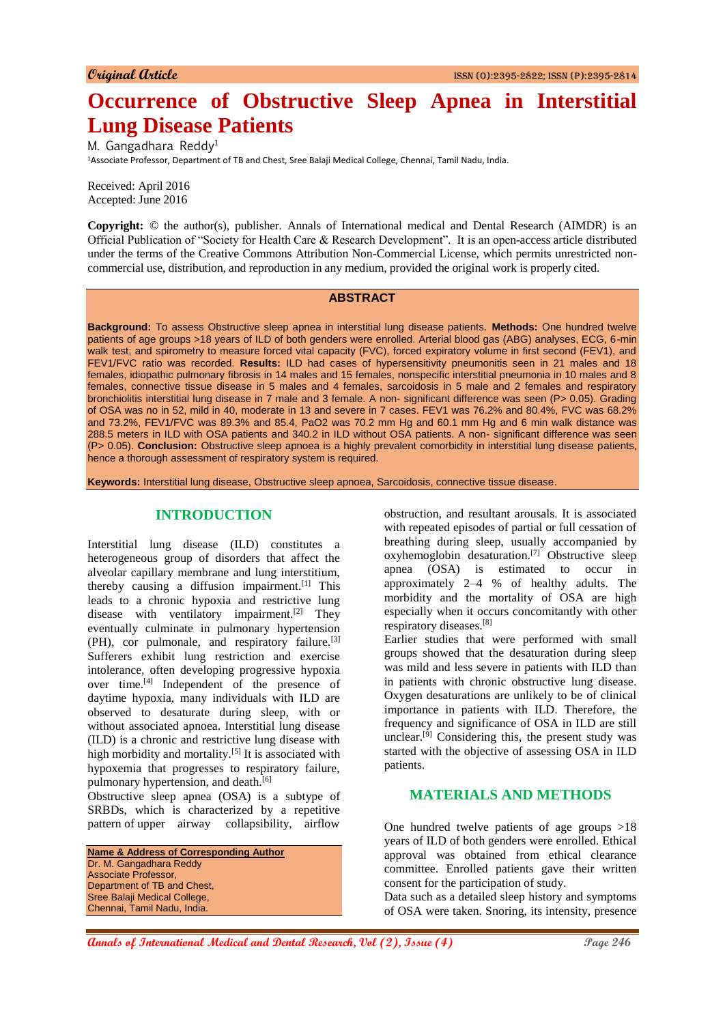# **Occurrence of Obstructive Sleep Apnea in Interstitial Lung Disease Patients**

M. Gangadhara Reddy<sup>1</sup>

<sup>1</sup>Associate Professor, Department of TB and Chest, Sree Balaji Medical College, Chennai, Tamil Nadu, India.

Received: April 2016 Accepted: June 2016

**Copyright:**  $\odot$  the author(s), publisher. Annals of International medical and Dental Research (AIMDR) is an Official Publication of "Society for Health Care & Research Development". It is an open-access article distributed under the terms of the Creative Commons Attribution Non-Commercial License, which permits unrestricted noncommercial use, distribution, and reproduction in any medium, provided the original work is properly cited.

## **ABSTRACT**

**Background:** To assess Obstructive sleep apnea in interstitial lung disease patients. **Methods:** One hundred twelve patients of age groups >18 years of ILD of both genders were enrolled. Arterial blood gas (ABG) analyses, ECG, 6-min walk test; and spirometry to measure forced vital capacity (FVC), forced expiratory volume in first second (FEV1), and FEV1/FVC ratio was recorded. **Results:** ILD had cases of hypersensitivity pneumonitis seen in 21 males and 18 females, idiopathic pulmonary fibrosis in 14 males and 15 females, nonspecific interstitial pneumonia in 10 males and 8 females, connective tissue disease in 5 males and 4 females, sarcoidosis in 5 male and 2 females and respiratory bronchiolitis interstitial lung disease in 7 male and 3 female. A non- significant difference was seen (P> 0.05). Grading of OSA was no in 52, mild in 40, moderate in 13 and severe in 7 cases. FEV1 was 76.2% and 80.4%, FVC was 68.2% and 73.2%, FEV1/FVC was 89.3% and 85.4, PaO2 was 70.2 mm Hg and 60.1 mm Hg and 6 min walk distance was 288.5 meters in ILD with OSA patients and 340.2 in ILD without OSA patients. A non- significant difference was seen (P> 0.05). **Conclusion:** Obstructive sleep apnoea is a highly prevalent comorbidity in interstitial lung disease patients, hence a thorough assessment of respiratory system is required.

**Keywords:** Interstitial lung disease, Obstructive sleep apnoea, Sarcoidosis, connective tissue disease.

# **INTRODUCTION**

Interstitial lung disease (ILD) constitutes a heterogeneous group of disorders that affect the alveolar capillary membrane and lung interstitium, thereby causing a diffusion impairment.[1] This leads to a chronic hypoxia and restrictive lung disease with ventilatory impairment.<sup>[2]</sup> They eventually culminate in pulmonary hypertension (PH), cor pulmonale, and respiratory failure.<sup>[3]</sup> Sufferers exhibit lung restriction and exercise intolerance, often developing progressive hypoxia over time.[4] Independent of the presence of daytime hypoxia, many individuals with ILD are observed to desaturate during sleep, with or without associated apnoea. Interstitial lung disease (ILD) is a chronic and restrictive lung disease with high morbidity and mortality.<sup>[5]</sup> It is associated with hypoxemia that progresses to respiratory failure, pulmonary hypertension, and death.<sup>[6]</sup>

Obstructive sleep apnea (OSA) is a subtype of SRBDs, which is characterized by a repetitive pattern of upper airway collapsibility, airflow

| <b>Name &amp; Address of Corresponding Author</b> |
|---------------------------------------------------|
| Dr. M. Gangadhara Reddy                           |
| Associate Professor,                              |
| Department of TB and Chest,                       |
| Sree Balaji Medical College,                      |
| Chennai, Tamil Nadu, India.                       |

obstruction, and resultant arousals. It is associated with repeated episodes of partial or full cessation of breathing during sleep, usually accompanied by oxyhemoglobin desaturation.[7] Obstructive sleep apnea (OSA) is estimated to occur in approximately 2–4 % of healthy adults. The morbidity and the mortality of OSA are high especially when it occurs concomitantly with other respiratory diseases.[8]

Earlier studies that were performed with small groups showed that the desaturation during sleep was mild and less severe in patients with ILD than in patients with chronic obstructive lung disease. Oxygen desaturations are unlikely to be of clinical importance in patients with ILD. Therefore, the frequency and significance of OSA in ILD are still unclear.[9] Considering this, the present study was started with the objective of assessing OSA in ILD patients.

# **MATERIALS AND METHODS**

One hundred twelve patients of age groups >18 years of ILD of both genders were enrolled. Ethical approval was obtained from ethical clearance committee. Enrolled patients gave their written consent for the participation of study.

Data such as a detailed sleep history and symptoms of OSA were taken. Snoring, its intensity, presence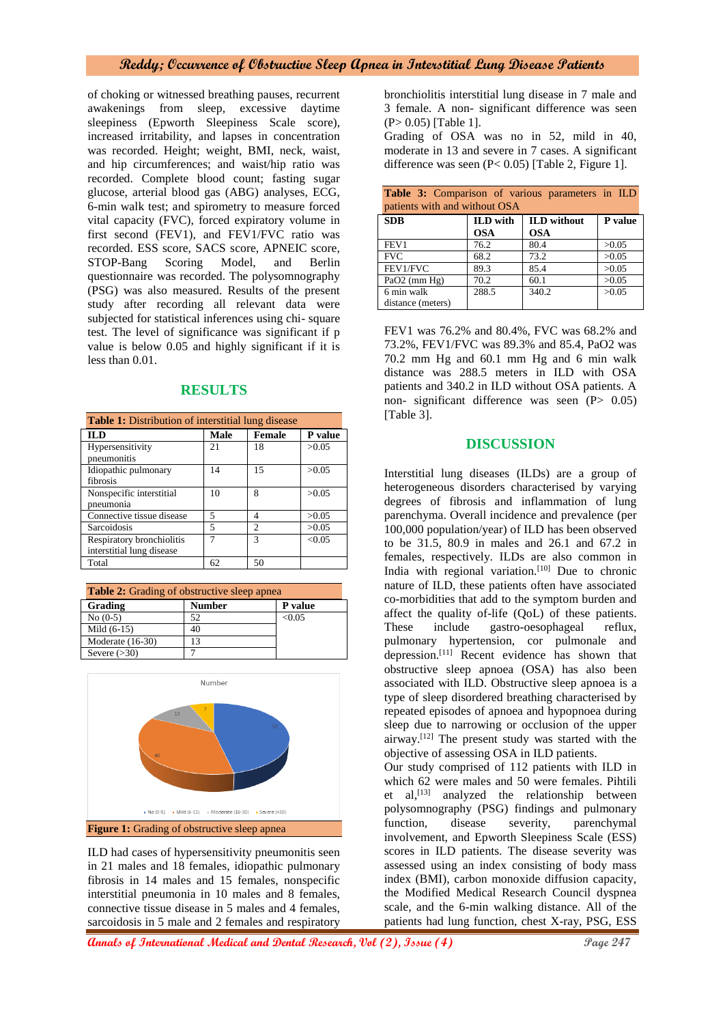# **Reddy; Occurrence of Obstructive Sleep Apnea in Interstitial Lung Disease Patients**

of choking or witnessed breathing pauses, recurrent awakenings from sleep, excessive daytime sleepiness (Epworth Sleepiness Scale score), increased irritability, and lapses in concentration was recorded. Height; weight, BMI, neck, waist, and hip circumferences; and waist/hip ratio was recorded. Complete blood count; fasting sugar glucose, arterial blood gas (ABG) analyses, ECG, 6-min walk test; and spirometry to measure forced vital capacity (FVC), forced expiratory volume in first second (FEV1), and FEV1/FVC ratio was recorded. ESS score, SACS score, APNEIC score, STOP-Bang Scoring Model, and Berlin questionnaire was recorded. The polysomnography (PSG) was also measured. Results of the present study after recording all relevant data were subjected for statistical inferences using chi- square test. The level of significance was significant if p value is below 0.05 and highly significant if it is less than 0.01.

# **RESULTS**

| <b>Table 1:</b> Distribution of interstitial lung disease |      |                             |         |  |  |
|-----------------------------------------------------------|------|-----------------------------|---------|--|--|
| <b>ILD</b>                                                | Male | <b>Female</b>               | P value |  |  |
| Hypersensitivity                                          | 21   | 18                          | >0.05   |  |  |
| pneumonitis                                               |      |                             |         |  |  |
| Idiopathic pulmonary                                      | 14   | 15                          | >0.05   |  |  |
| fibrosis                                                  |      |                             |         |  |  |
| Nonspecific interstitial                                  | 10   | 8                           | >0.05   |  |  |
| pneumonia                                                 |      |                             |         |  |  |
| Connective tissue disease                                 | 5    | 4                           | >0.05   |  |  |
| Sarcoidosis                                               | 5    | $\mathcal{D}_{\mathcal{L}}$ | >0.05   |  |  |
| Respiratory bronchiolitis                                 |      | $\mathcal{R}$               | < 0.05  |  |  |
| interstitial lung disease                                 |      |                             |         |  |  |
| Total                                                     | 62   | 50                          |         |  |  |

| <b>Table 2:</b> Grading of obstructive sleep apnea |               |         |  |  |
|----------------------------------------------------|---------------|---------|--|--|
| Grading                                            | <b>Number</b> | P value |  |  |
| $No(0-5)$                                          | 52            | < 0.05  |  |  |
| Mild $(6-15)$                                      | 40            |         |  |  |
| Moderate $(16-30)$                                 | 13            |         |  |  |
| Severe $(>30)$                                     |               |         |  |  |



ILD had cases of hypersensitivity pneumonitis seen in 21 males and 18 females, idiopathic pulmonary fibrosis in 14 males and 15 females, nonspecific interstitial pneumonia in 10 males and 8 females, connective tissue disease in 5 males and 4 females, sarcoidosis in 5 male and 2 females and respiratory

bronchiolitis interstitial lung disease in 7 male and 3 female. A non- significant difference was seen (P> 0.05) [Table 1].

Grading of OSA was no in 52, mild in 40, moderate in 13 and severe in 7 cases. A significant difference was seen (P< 0.05) [Table 2, Figure 1].

| Table 3: Comparison of various parameters in ILD |                 |                    |         |  |  |  |
|--------------------------------------------------|-----------------|--------------------|---------|--|--|--|
| patients with and without OSA                    |                 |                    |         |  |  |  |
| <b>SDB</b>                                       | <b>ILD</b> with | <b>ILD</b> without | P value |  |  |  |
|                                                  | <b>OSA</b>      | <b>OSA</b>         |         |  |  |  |
| FEV1                                             | 76.2            | 80.4               | >0.05   |  |  |  |
| <b>FVC</b>                                       | 68.2            | 73.2               | >0.05   |  |  |  |
| FEV1/FVC                                         | 89.3            | 85.4               | >0.05   |  |  |  |
| $PaO2$ (mm $Hg$ )                                | 70.2            | 60.1               | >0.05   |  |  |  |
| 6 min walk                                       | 288.5           | 340.2              | >0.05   |  |  |  |
| distance (meters)                                |                 |                    |         |  |  |  |

FEV1 was 76.2% and 80.4%, FVC was 68.2% and 73.2%, FEV1/FVC was 89.3% and 85.4, PaO2 was 70.2 mm Hg and 60.1 mm Hg and 6 min walk distance was 288.5 meters in ILD with OSA patients and 340.2 in ILD without OSA patients. A non- significant difference was seen (P> 0.05) [Table 3].

## **DISCUSSION**

Interstitial lung diseases (ILDs) are a group of heterogeneous disorders characterised by varying degrees of fibrosis and inflammation of lung parenchyma. Overall incidence and prevalence (per 100,000 population/year) of ILD has been observed to be 31.5, 80.9 in males and 26.1 and 67.2 in females, respectively. ILDs are also common in India with regional variation. $[10]$  Due to chronic nature of ILD, these patients often have associated co-morbidities that add to the symptom burden and affect the quality of-life (QoL) of these patients. These include gastro-oesophageal reflux, pulmonary hypertension, cor pulmonale and depression.<sup>[11]</sup> Recent evidence has shown that obstructive sleep apnoea (OSA) has also been associated with ILD. Obstructive sleep apnoea is a type of sleep disordered breathing characterised by repeated episodes of apnoea and hypopnoea during sleep due to narrowing or occlusion of the upper airway.[12] The present study was started with the objective of assessing OSA in ILD patients.

Our study comprised of 112 patients with ILD in which 62 were males and 50 were females. Pihtili et al, [13] analyzed the relationship between polysomnography (PSG) findings and pulmonary function, disease severity, parenchymal involvement, and Epworth Sleepiness Scale (ESS) scores in ILD patients. The disease severity was assessed using an index consisting of body mass index (BMI), carbon monoxide diffusion capacity, the Modified Medical Research Council dyspnea scale, and the 6-min walking distance. All of the patients had lung function, chest X-ray, PSG, ESS

**Annals of International Medical and Dental Research, Vol (2), Issue (4)** Page 247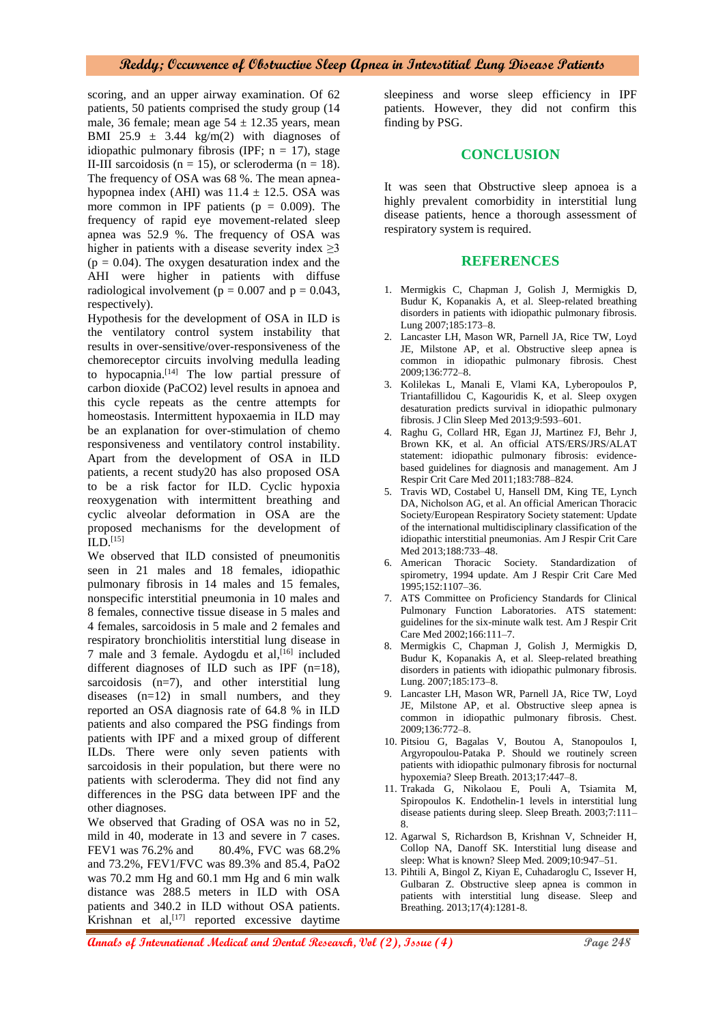## **Reddy; Occurrence of Obstructive Sleep Apnea in Interstitial Lung Disease Patients**

scoring, and an upper airway examination. Of 62 patients, 50 patients comprised the study group (14 male, 36 female; mean age  $54 \pm 12.35$  years, mean BMI 25.9  $\pm$  3.44 kg/m(2) with diagnoses of idiopathic pulmonary fibrosis (IPF;  $n = 17$ ), stage II-III sarcoidosis ( $n = 15$ ), or scleroderma ( $n = 18$ ). The frequency of OSA was 68 %. The mean apneahypopnea index (AHI) was  $11.4 \pm 12.5$ . OSA was more common in IPF patients ( $p = 0.009$ ). The frequency of rapid eye movement-related sleep apnea was 52.9 %. The frequency of OSA was higher in patients with a disease severity index  $\geq$ 3  $(p = 0.04)$ . The oxygen desaturation index and the AHI were higher in patients with diffuse radiological involvement ( $p = 0.007$  and  $p = 0.043$ , respectively).

Hypothesis for the development of OSA in ILD is the ventilatory control system instability that results in over-sensitive/over-responsiveness of the chemoreceptor circuits involving medulla leading to hypocapnia.[14] The low partial pressure of carbon dioxide (PaCO2) level results in apnoea and this cycle repeats as the centre attempts for homeostasis. Intermittent hypoxaemia in ILD may be an explanation for over-stimulation of chemo responsiveness and ventilatory control instability. Apart from the development of OSA in ILD patients, a recent study20 has also proposed OSA to be a risk factor for ILD. Cyclic hypoxia reoxygenation with intermittent breathing and cyclic alveolar deformation in OSA are the proposed mechanisms for the development of  $ILD.$ [15]

We observed that ILD consisted of pneumonitis seen in 21 males and 18 females, idiopathic pulmonary fibrosis in 14 males and 15 females, nonspecific interstitial pneumonia in 10 males and 8 females, connective tissue disease in 5 males and 4 females, sarcoidosis in 5 male and 2 females and respiratory bronchiolitis interstitial lung disease in 7 male and 3 female. Aydogdu et al, [16] included different diagnoses of ILD such as IPF (n=18), sarcoidosis (n=7), and other interstitial lung diseases (n=12) in small numbers, and they reported an OSA diagnosis rate of 64.8 % in ILD patients and also compared the PSG findings from patients with IPF and a mixed group of different ILDs. There were only seven patients with sarcoidosis in their population, but there were no patients with scleroderma. They did not find any differences in the PSG data between IPF and the other diagnoses.

We observed that Grading of OSA was no in 52, mild in 40, moderate in 13 and severe in 7 cases. FEV1 was 76.2% and 80.4%, FVC was 68.2% and 73.2%, FEV1/FVC was 89.3% and 85.4, PaO2 was 70.2 mm Hg and 60.1 mm Hg and 6 min walk distance was 288.5 meters in ILD with OSA patients and 340.2 in ILD without OSA patients. Krishnan et al,<sup>[17]</sup> reported excessive daytime sleepiness and worse sleep efficiency in IPF patients. However, they did not confirm this finding by PSG.

## **CONCLUSION**

It was seen that Obstructive sleep apnoea is a highly prevalent comorbidity in interstitial lung disease patients, hence a thorough assessment of respiratory system is required.

## **REFERENCES**

- 1. Mermigkis C, Chapman J, Golish J, Mermigkis D, Budur K, Kopanakis A, et al. Sleep-related breathing disorders in patients with idiopathic pulmonary fibrosis. Lung 2007;185:173–8.
- 2. Lancaster LH, Mason WR, Parnell JA, Rice TW, Loyd JE, Milstone AP, et al. Obstructive sleep apnea is common in idiopathic pulmonary fibrosis. Chest 2009;136:772–8.
- 3. Kolilekas L, Manali E, Vlami KA, Lyberopoulos P, Triantafillidou C, Kagouridis K, et al. Sleep oxygen desaturation predicts survival in idiopathic pulmonary fibrosis. J Clin Sleep Med 2013;9:593–601.
- 4. Raghu G, Collard HR, Egan JJ, Martinez FJ, Behr J, Brown KK, et al. An official ATS/ERS/JRS/ALAT statement: idiopathic pulmonary fibrosis: evidencebased guidelines for diagnosis and management. Am J Respir Crit Care Med 2011;183:788–824.
- 5. Travis WD, Costabel U, Hansell DM, King TE, Lynch DA, Nicholson AG, et al. An official American Thoracic Society/European Respiratory Society statement: Update of the international multidisciplinary classification of the idiopathic interstitial pneumonias. Am J Respir Crit Care Med 2013;188:733–48.
- 6. American Thoracic Society. Standardization of spirometry, 1994 update. Am J Respir Crit Care Med 1995;152:1107–36.
- 7. ATS Committee on Proficiency Standards for Clinical Pulmonary Function Laboratories. ATS statement: guidelines for the six-minute walk test. Am J Respir Crit Care Med 2002;166:111–7.
- 8. Mermigkis C, Chapman J, Golish J, Mermigkis D, Budur K, Kopanakis A, et al. Sleep-related breathing disorders in patients with idiopathic pulmonary fibrosis. Lung. 2007;185:173–8.
- 9. Lancaster LH, Mason WR, Parnell JA, Rice TW, Loyd JE, Milstone AP, et al. Obstructive sleep apnea is common in idiopathic pulmonary fibrosis. Chest. 2009;136:772–8.
- 10. Pitsiou G, Bagalas V, Boutou A, Stanopoulos I, Argyropoulou-Pataka P. Should we routinely screen patients with idiopathic pulmonary fibrosis for nocturnal hypoxemia? Sleep Breath. 2013;17:447–8.
- 11. Trakada G, Nikolaou E, Pouli A, Tsiamita M, Spiropoulos K. Endothelin-1 levels in interstitial lung disease patients during sleep. Sleep Breath. 2003;7:111– 8.
- 12. Agarwal S, Richardson B, Krishnan V, Schneider H, Collop NA, Danoff SK. Interstitial lung disease and sleep: What is known? Sleep Med. 2009;10:947–51.
- 13. Pihtili A, Bingol Z, Kiyan E, Cuhadaroglu C, Issever H, Gulbaran Z. Obstructive sleep apnea is common in patients with interstitial lung disease. Sleep and Breathing. 2013;17(4):1281-8.